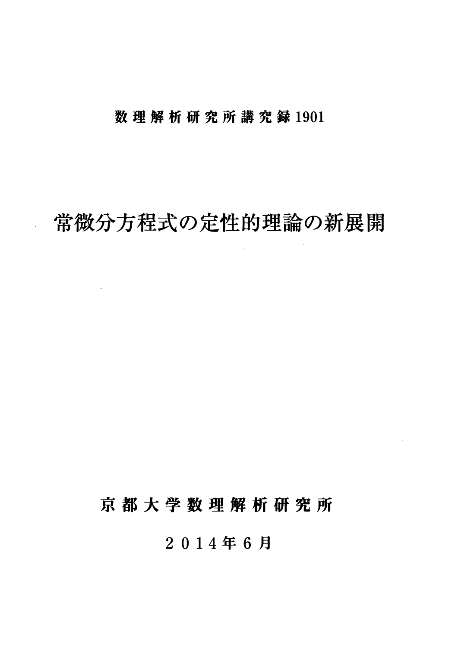### 数理解析研究所講究録 1901

## 常微分方程式の定性的理論の新展開

 $\ddot{\phantom{0}}$ 

 $\mathcal{L}^{\text{max}}_{\text{max}}$ 

 $\mathcal{L}^{\text{max}}_{\text{max}}$ 

## 京都大学数理解析研究所

 $\label{eq:2.1} \mathcal{L}^{\text{max}}_{\text{max}}(\mathcal{L}^{\text{max}}_{\text{max}}, \mathcal{L}^{\text{max}}_{\text{max}})$ 

2014 年 6 月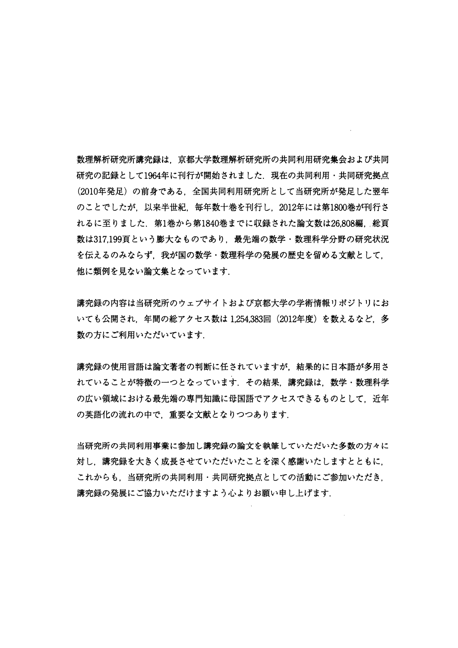数理解析研究所講究録は,京都大学数理解析研究所の共同利用研究集会および共同 研究の記録として1964年に刊行が開始されました. 現在の共同利用・共同研究拠点 (2010 年発足) の前身である,全国共同利用研究所として当研究所が発足した翌年 のことでしたが、以来半世紀、毎年数十巻を刊行し、2012年には第1800巻が刊行さ れるに至りました. 第1巻から第1840巻までに収録された論文数は26,808編. 総頁 数は317,199頁という膨大なものであり、最先端の数学・数理科学分野の研究状況 を伝えるのみならず、我が国の数学・数理科学の発展の歴史を留める文献として、 他に類例を見ない論文集となっています.

講究録の内容は当研究所のウェブサイトおよび京都大学の学術情報リポジトリにお いても公開され,年間の総アクセス数は 1,254,383 回 (2012 年度) を数えるなど,多 数の方にご利用いただいています.

講究録の使用言語は論文著者の判断に任されていますが,結果的に日本語が多用さ れていることが特徴の一つとなっています。その結果、講究録は、数学・数理科学 の広い領域における最先端の専門知識に母国語でアクセスできるものとして、近年 の英語化の流れの中で、重要な文献となりつつあります.

当研究所の共同利用事業に参加し講究録の論文を執筆していただいた多数の方々に 対し,講究録を大きく成長させていただいたことを深く感謝いたしますとともに, これからも、当研究所の共同利用・共同研究拠点としての活動にご参加いただき。 講究録の発展にご協力いただけますよう心よりお願い申し上げます.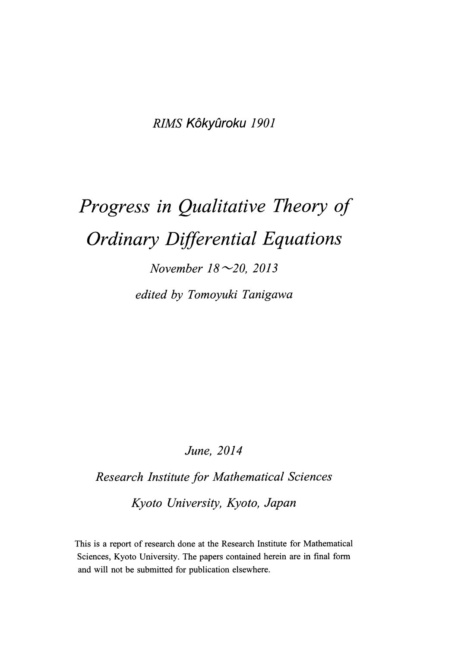RIMS Kôkyûroku 1901

# Progress in Qualitative Theory of Ordinary Differential Equations

November  $18 \sim 20$ , 2013 edited by Tomoyuki Tanigawa

### June, 2014

Research lnstitute for Mathematical Sciences Kyoto University, Kyoto, Japan

This is a report of research done at the Research Institute for Mathematical Sciences, Kyoto University. The papers contained herein are in final form and will not be submitted for publication elsewhere.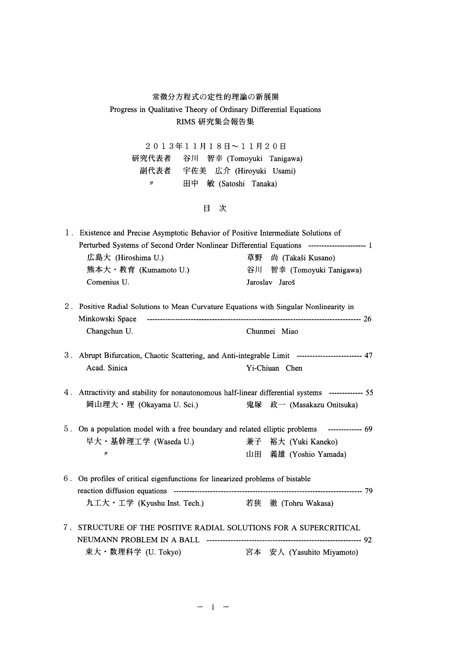### 常微分方程式の定性的理論の新展開 Progress in Qualitative Theory of Ordinary Differential Equations RIMS 研究集会報告集

 $2013年11月18日~11月20日$ 研究代表者 谷川 智幸 (Tomoyuki Tanigawa) 副代表者 宇佐美 広介 (Hiroyuki Usami) 〃 田中 敏 (Satoshi Tanaka)

#### 目次

| 1. Existence and Precise Asymptotic Behavior of Positive Intermediate Solutions of                   |  |                           |  |
|------------------------------------------------------------------------------------------------------|--|---------------------------|--|
| Perturbed Systems of Second Order Nonlinear Differential Equations --------------------------------- |  |                           |  |
| 広島大 (Hiroshima U.)                                                                                   |  | 草野 尚 (Takaŝi Kusano)      |  |
| 熊本大・教育 (Kumamoto U.)                                                                                 |  | 谷川 智幸 (Tomoyuki Tanigawa) |  |
| Comenius U.                                                                                          |  | Jaroslav Jaroš            |  |

- 2. Positive Radial Solutions to Mean Curvature Equations with Singular Nonlinearity in Minkowski Space 26 Changchun U. Chunmei Miao
- 3. Abrupt Bifurcation, Chaotic Scattering, and Anti-integrable Limit 47 Acad. Sinica Yi-Chiuan Chen
- 4. Attractivity and stability for nonautonomous half-linear differential systems ------------- 55 岡山理大・理 (Okayama U. Sci.) 鬼塚 政一 (Masakazu Onitsuka)
- 5. On a population model with a free boundary and related elliptic problems -------------- 69 早大・基幹理工学 (Waseda U.) <br>
※ 兼子 裕大 (Yuki Kaneko)  $\boldsymbol{\eta}$ 山田 義雄 (Yoshio Yamada)
- 6. On profiles of critical eigenfunctions for linearized problems of bistable reaction diffusion equations 79 九工大・工学 (Kyushu Inst. Tech.) 著狭 徹 (Tohru Wakasa)
- 7. STRUCTURE OF THE POSITIVE RADIAL SOLUTIONS FOR A SUPERCRITICAL NEUMANN PROBLEM IN A BALL 92 東大・数理科学 (U. Tokyo) 宮本 安人 (Yasuhito Miyamoto)